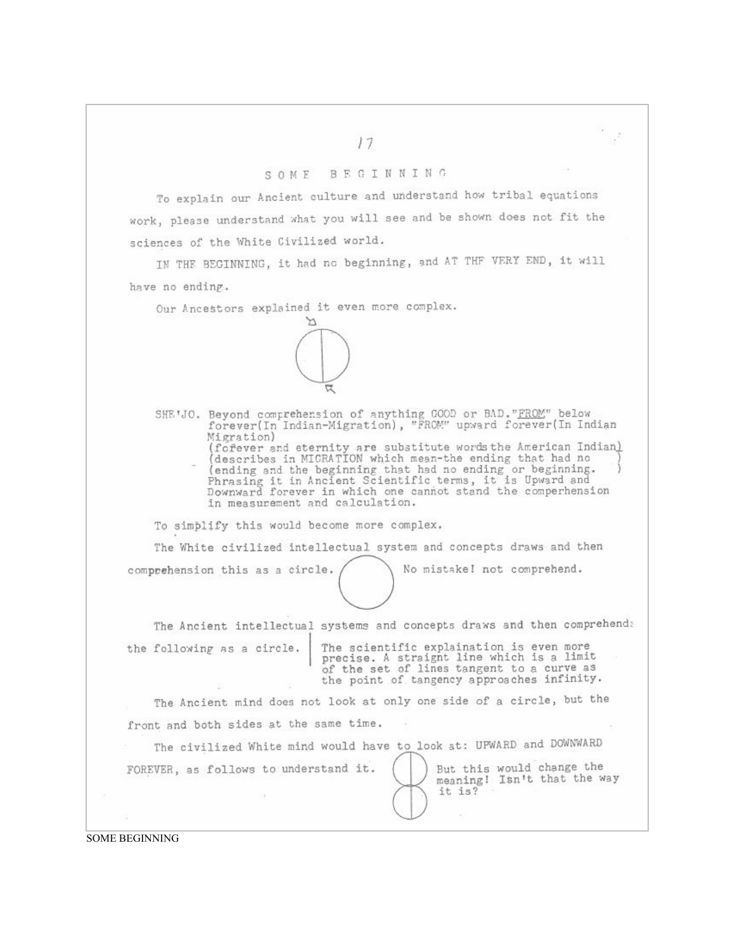## BEGINNING SOME

To explain our Ancient culture and understand how tribal equations work, please understand what you will see and be shown does not fit the sciences of the White Civilized world.

IN THE BEGINNING, it had no beginning, and AT THF VERY END, it will have no ending.

Our Ancestors explained it even more complex.



SHE'JO. Beyond comprehension of anything GOOD or BAD. "FROM" below forever(In Indian-Migration), "FROM" upward forever(In Indian Migration) (fofever and eternity are substitute words the American Indian)<br>(describes in MICRATION which mean-the ending that had no<br>(ending and the beginning that had no ending or beginning.)<br>Phrasing it in Ancient Scientific terms,

To simplify this would become more complex.

in measurement and calculation.

The White civilized intellectual system and concepts draws and then

No mistake! not comprehend.

But this would change the

meaning! Isn't that the way

The Ancient intellectual systems and concepts draws and then comprehends the following as a circle.

The scientific explaination is even more<br>precise. A straignt line which is a limit of the set of lines tangent to a curve as the point of tangency approaches infinity.

> it is?  $\pm$

The Ancient mind does not look at only one side of a circle, but the front and both sides at the same time.

The civilized White mind would have to look at: UPWARD and DOWNWARD

FOREVER, as follows to understand it.

comprehension this as a circle.

**SOME BEGINNING**